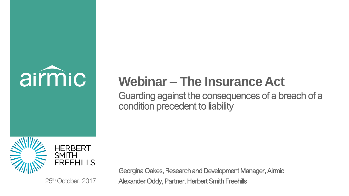

## **Webinar – The Insurance Act**

Guarding against the consequences of a breach of a condition precedent to liability



Georgina Oakes, Research and Development Manager, Airmic 25<sup>th</sup> October, 2017 **Alexander Oddy, Partner, Herbert Smith Freehills**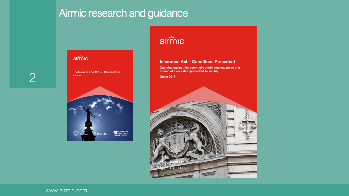## Airmic research and guidance

2

### airmic

The Insurance Act 2015 - 10 months on **Guide 2017** 



### airmic

### **Insurance Act - Conditions Precedent**

Guarding against the potentially unfair consequences of a breach of a condition precedent to liability

**Guide 2017** 

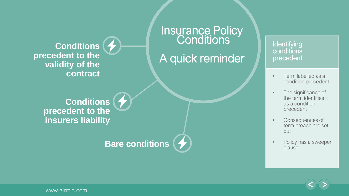**Conditions precedent to the validity of the contract**

> **Conditions precedent to the insurers liability**

### **Bare conditions**

### **Insurance Policy Conditions**

A quick reminder

### **Identifying** conditions precedent

- Term labelled as a condition precedent
- The significance of the term identifies it as a condition precedent
- Consequences of term breach are set out
- Policy has a sweeper clause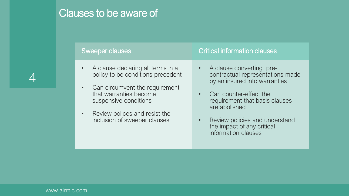# 4

## Clauses to be aware of

inclusion of sweeper clauses

| Sweeper clauses |                                                                                   | <b>Critical information clauses</b> |                                                                                               |
|-----------------|-----------------------------------------------------------------------------------|-------------------------------------|-----------------------------------------------------------------------------------------------|
| $\bullet$       | A clause declaring all terms in a<br>policy to be conditions precedent            |                                     | A clause converting pre-<br>contractual representations made<br>by an insured into warranties |
| $\bullet$       | Can circumvent the requirement<br>that warranties become<br>suspensive conditions |                                     | Can counter-effect the<br>requirement that basis clauses<br>are abolished                     |
| $\bullet$       | Review polices and resist the                                                     |                                     |                                                                                               |

• Review policies and understand the impact of any critical information clauses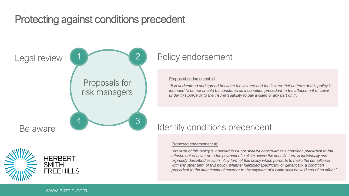## Protecting against conditions precedent





### Policy endorsement

### Proposed endorsement #1

"It is understood and agreed between the insured and the insurer that no term of this policy is intended to be nor should be construed as a condition precedent to the attachment of cover under this policy or to the insurer's liability to pay a claim or any part of it".

### Proposed endorsement #2

"No term of this policy is intended to be nor shall be construed as a condition precedent to the attachment of cover or to the payment of a claim unless the specific term is individually and expressly described as such. Any term of this policy which purports to make the compliance with any other term of this policy, whether identified specifically or generically, a condition precedent to the attachment of cover or to the payment of a claim shall be void and of no effect."